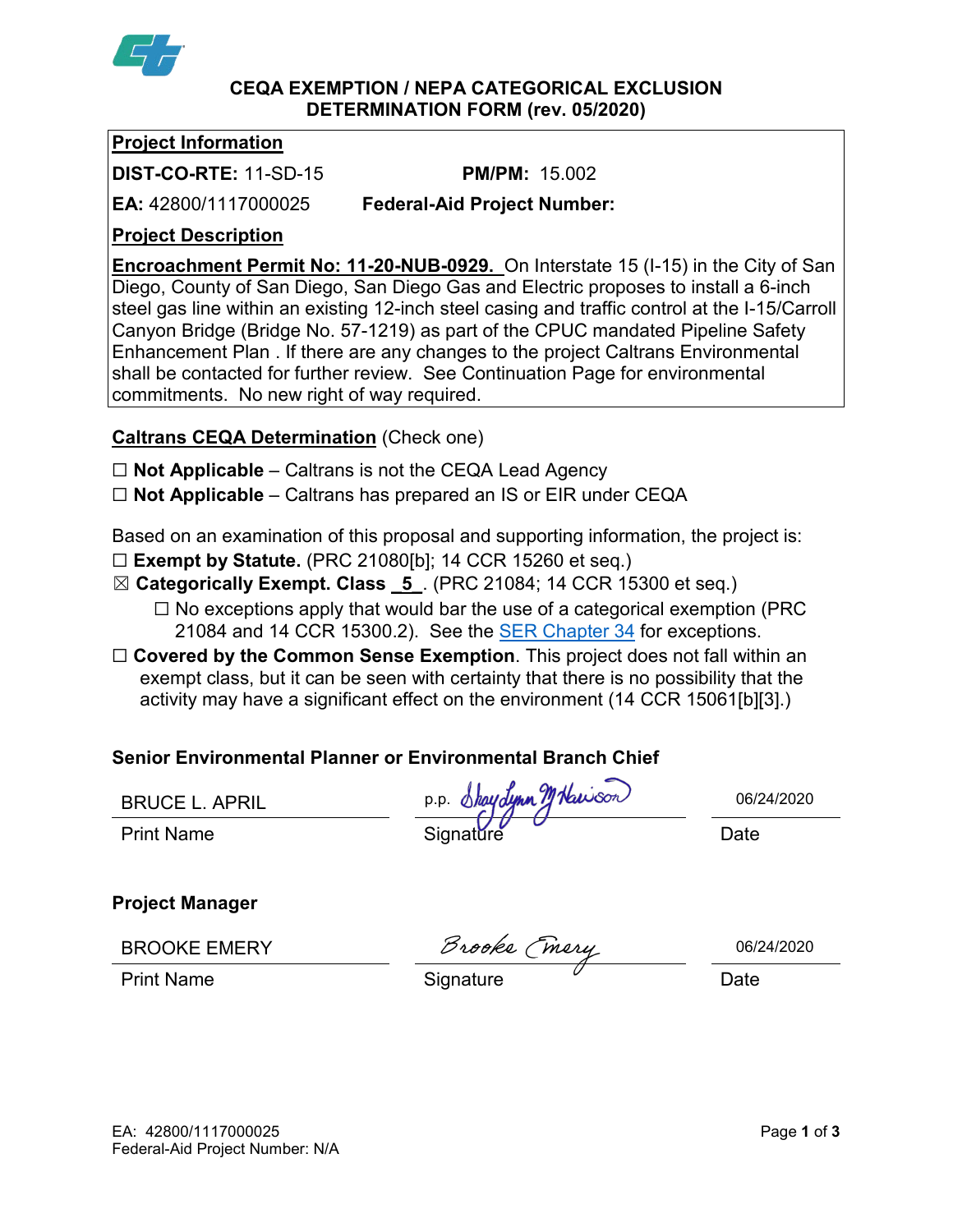

#### **CEQA EXEMPTION / NEPA CATEGORICAL EXCLUSION DETERMINATION FORM (rev. 05/2020)**

## **Project Information**

**DIST-CO-RTE:** 11-SD-15 **PM/PM:** 15.002

**EA:** 42800/1117000025 **Federal-Aid Project Number:**

## **Project Description**

**Encroachment Permit No: 11-20-NUB-0929.** On Interstate 15 (I-15) in the City of San Diego, County of San Diego, San Diego Gas and Electric proposes to install a 6-inch steel gas line within an existing 12-inch steel casing and traffic control at the I-15/Carroll Canyon Bridge (Bridge No. 57-1219) as part of the CPUC mandated Pipeline Safety Enhancement Plan . If there are any changes to the project Caltrans Environmental shall be contacted for further review. See Continuation Page for environmental commitments. No new right of way required.

# **Caltrans CEQA Determination** (Check one)

- ☐ **Not Applicable** Caltrans is not the CEQA Lead Agency
- ☐ **Not Applicable** Caltrans has prepared an IS or EIR under CEQA

Based on an examination of this proposal and supporting information, the project is:

- ☐ **Exempt by Statute.** (PRC 21080[b]; 14 CCR 15260 et seq.)
- ☒ **Categorically Exempt. Class \_5\_**. (PRC 21084; 14 CCR 15300 et seq.)  $\Box$  No exceptions apply that would bar the use of a categorical exemption (PRC)
	- 21084 and 14 CCR 15300.2). See the **SER Chapter 34** for exceptions.
- □ **Covered by the Common Sense Exemption**. This project does not fall within an exempt class, but it can be seen with certainty that there is no possibility that the activity may have a significant effect on the environment (14 CCR 15061[b][3].)

# **Senior Environmental Planner or Environmental Branch Chief**

Print Name Signatǔre Date p.p. *Shaydynn TJ Nawson* 

**Project Manager**

BROOKE EMERY

Brooks (mery

06/24/2020

Print Name **Signature Constant Constant Constant Constant Constant Constant Constant Constant Constant Constant Constant Constant Constant Constant Constant Constant Constant Constant Constant Constant Constant Constant**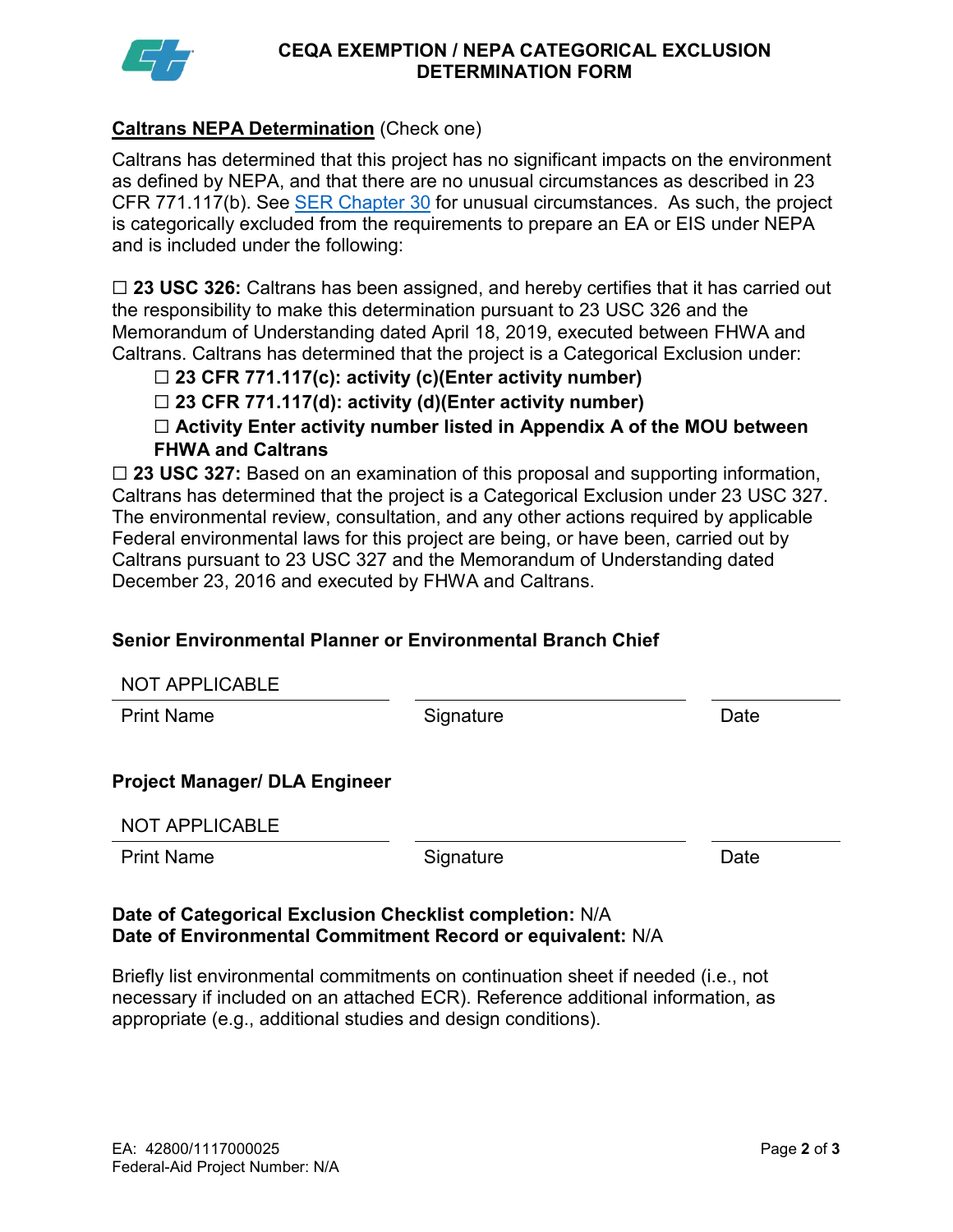

#### **CEQA EXEMPTION / NEPA CATEGORICAL EXCLUSION DETERMINATION FORM**

## **Caltrans NEPA Determination** (Check one)

Caltrans has determined that this project has no significant impacts on the environment as defined by NEPA, and that there are no unusual circumstances as described in 23 CFR 771.117(b). See [SER Chapter 30](https://dot.ca.gov/programs/environmental-analysis/standard-environmental-reference-ser/volume-1-guidance-for-compliance/ch-30-categorical-exclusions#exception) for unusual circumstances. As such, the project is categorically excluded from the requirements to prepare an EA or EIS under NEPA and is included under the following:

☐ **23 USC 326:** Caltrans has been assigned, and hereby certifies that it has carried out the responsibility to make this determination pursuant to 23 USC 326 and the Memorandum of Understanding dated April 18, 2019, executed between FHWA and Caltrans. Caltrans has determined that the project is a Categorical Exclusion under:

## ☐ **23 CFR 771.117(c): activity (c)(Enter activity number)**

☐ **23 CFR 771.117(d): activity (d)(Enter activity number)**

☐ **Activity Enter activity number listed in Appendix A of the MOU between FHWA and Caltrans**

□ 23 USC 327: Based on an examination of this proposal and supporting information, Caltrans has determined that the project is a Categorical Exclusion under 23 USC 327. The environmental review, consultation, and any other actions required by applicable Federal environmental laws for this project are being, or have been, carried out by Caltrans pursuant to 23 USC 327 and the Memorandum of Understanding dated December 23, 2016 and executed by FHWA and Caltrans.

### **Senior Environmental Planner or Environmental Branch Chief**

| <b>NOT APPLICABLE</b>                |           |      |
|--------------------------------------|-----------|------|
| <b>Print Name</b>                    | Signature | Date |
|                                      |           |      |
| <b>Project Manager/ DLA Engineer</b> |           |      |
| <b>NOT APPLICABLE</b>                |           |      |
| <b>Print Name</b>                    | Signature | Date |
|                                      |           |      |

#### **Date of Categorical Exclusion Checklist completion:** N/A **Date of Environmental Commitment Record or equivalent:** N/A

Briefly list environmental commitments on continuation sheet if needed (i.e., not necessary if included on an attached ECR). Reference additional information, as appropriate (e.g., additional studies and design conditions).